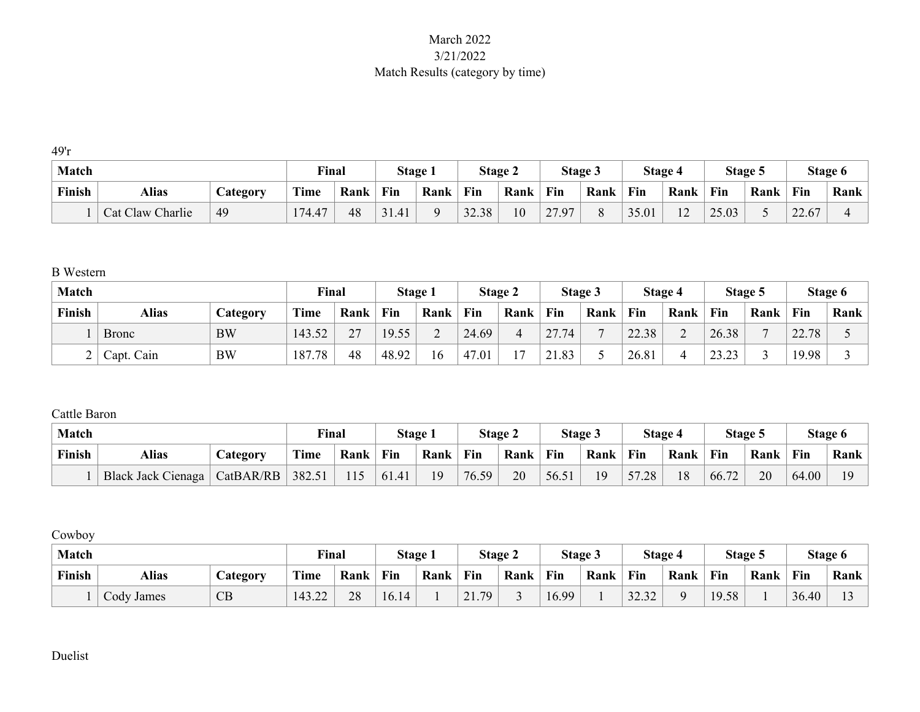## March 2022 3/21/2022 Match Results (category by time)

49'r

| <b>Match</b> |                     |                       | Final  |      | Stage |      |       | Stage 2 |                                | Stage 3 |       | Stage 4       |       | Stage 5 |       | Stage 6 |
|--------------|---------------------|-----------------------|--------|------|-------|------|-------|---------|--------------------------------|---------|-------|---------------|-------|---------|-------|---------|
| Finish       | <b>Alias</b>        | $\mathcal{L}$ ategory | Time   | Rank | Fin   | Rank | Fin   | Rank    | Fin                            | Rank    | Fin   | Rank          | Fin   | Rank    | Fin   | Rank    |
|              | Charlie<br>Cat Claw | 49                    | 174.47 | 48   | 31.41 |      | 32.38 | 10      | $\sim$ $\sim$<br>$\Omega$<br>∽ |         | 35.01 | $\sim$<br>L 4 | 25.03 |         | 22.67 |         |

B Western

| <b>Match</b> |              |           | Final       |               |       | Stage 1                  |       | Stage 2        |                      | Stage 3 |       | Stage 4 |                             | Stage 5 |       | Stage 6     |
|--------------|--------------|-----------|-------------|---------------|-------|--------------------------|-------|----------------|----------------------|---------|-------|---------|-----------------------------|---------|-------|-------------|
| Finish       | <b>Alias</b> | Category  | <b>Time</b> | Rank          | Fin   | Rank                     | Fin   | Rank           | Fin                  | Rank    | Fin   | Rank    | Fin                         | Rank    | Fin   | <b>Rank</b> |
|              | <b>Bronc</b> | <b>BW</b> | 143.52      | $\mathcal{L}$ | 19.55 | $\overline{\phantom{0}}$ | 24.69 |                | $\angle 7.74$        |         | 22.38 |         | 26.38                       |         | 22.78 |             |
| ∽            | Capt. Cain   | <b>BW</b> | 187.78      | 48            | 48.92 | 16                       | 47.01 | $\overline{ }$ | .83<br>$\sim$ $\sim$ |         | 26.81 |         | $\cap$<br>$\sim$<br>ر _ _ _ |         | 19.98 |             |

Cattle Baron

| <b>Match</b> |                    |                 | Final       |      | Stage: |      |       | Stage 2 |      | Stage 3 |       | Stage 4 |       | Stage 5 |       | Stage 6        |
|--------------|--------------------|-----------------|-------------|------|--------|------|-------|---------|------|---------|-------|---------|-------|---------|-------|----------------|
| Finish       | Alias              | <b>Category</b> | <b>Time</b> | Rank | Fin    | Rank | Fin   | Rank    | Fin  | Rank    | Fin   | Rank    | Fin   | Rank    | Fin   | <b>Rank</b>    |
|              | Black Jack Cienaga | CatBAR/RB       | 382.51      | 115  | 61.41  | 19   | 76.59 | 20      | 56.5 | 19      | 57.28 | 18      | 66.72 | 20      | 64.00 | 1 <sub>O</sub> |

Cowboy

| Match  |              |                                    | Final  |      | Stage 1 |      |            | Stage 2 |       | Stage 3 |       | <b>Stage 4</b> | Stage 5 |      |       | Stage 6 |
|--------|--------------|------------------------------------|--------|------|---------|------|------------|---------|-------|---------|-------|----------------|---------|------|-------|---------|
| Finish | <b>Alias</b> | $\triangle$ ategor $\triangledown$ | Time   | Rank | Fin     | Rank | Fin        | Rank    | Fin   | Rank    | Fin   | Rank           | Fin     | Rank | Fin   | Rank    |
|        | Cody James   | CB                                 | 143.22 | 28   | 16.14   |      | 79<br>21.7 |         | 16.99 |         | 32.32 |                | 19.58   |      | 36.40 |         |

Duelist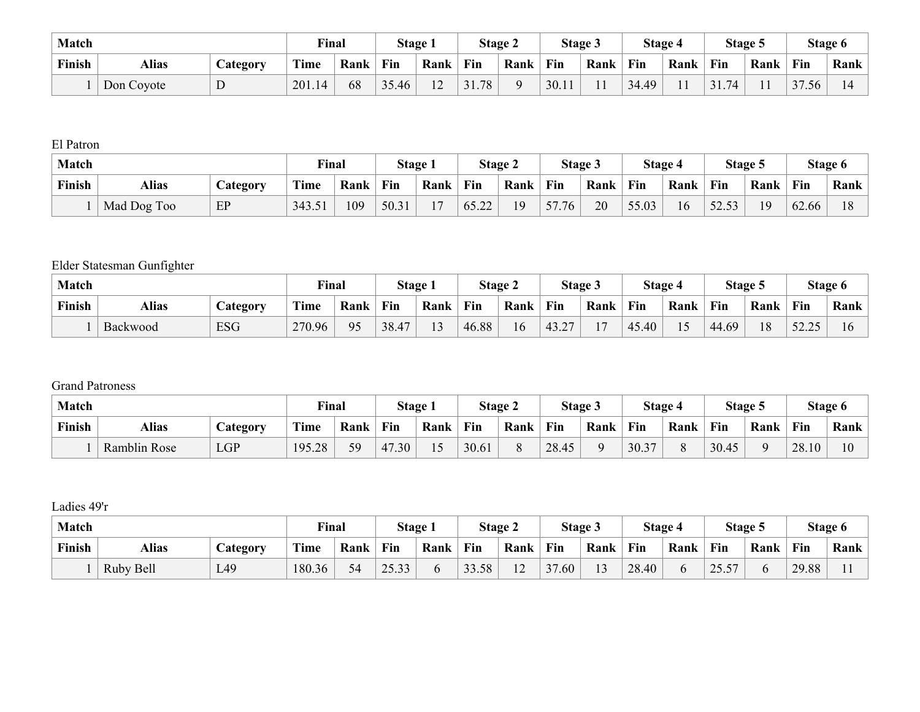| <b>Match</b> |              |                       | <b>Final</b>          |      | Stage 1 |               |            | Stage 2 | Stage 5 |      |       | Stage 4        |            | Stage 5 |       | Stage 6 |
|--------------|--------------|-----------------------|-----------------------|------|---------|---------------|------------|---------|---------|------|-------|----------------|------------|---------|-------|---------|
| Finish       | <b>Alias</b> | $\mathcal{L}$ ategory | $\mathbf{m}$<br>l'ime | Rank | Fin     | Rank          | Fin        | Rank    | Fin     | Rank | Fin   | Rank           | Fin        | Rank    | Fin   | Rank    |
|              | Don Coyote   | D                     | 201.14                | 68   | 35.46   | $\sim$<br>- 2 | 31.<br>.78 |         | 30.11   | 11   | 34.49 | $\blacksquare$ | .74<br>31. |         | 37.56 |         |

El Patron

| <b>Match</b> |             |                       | <b>Final</b>          |      |       | Stage 1                  |       | Stage 2 |       | Stage 3 |       | Stage 4 | Stage: |      |       | Stage 6 |
|--------------|-------------|-----------------------|-----------------------|------|-------|--------------------------|-------|---------|-------|---------|-------|---------|--------|------|-------|---------|
| Finish       | Alias       | $\mathcal{L}$ ategory | $\mathbf{m}$<br>l'ime | Rank | Fin   | Rank                     | Fin   | Rank    | Fin   | Rank    | Fin   | Rank    | Fin    | Rank | Fin   | Rank    |
|              | Mad Dog Too | EP                    | 343.51                | 109  | 50.31 | $\overline{\phantom{a}}$ | 65.22 | 19      | 57.76 | 20      | 55.03 | 16      | 52.53  | 19   | 62.66 |         |

# Elder Statesman Gunfighter

| Match  |              |                 | Final  |                                  |       | Stage 1           |       | Stage 2 |       | <b>Stage 3</b> |       | Stage 4                  |       | Stage 5 |       | Stage 6 |
|--------|--------------|-----------------|--------|----------------------------------|-------|-------------------|-------|---------|-------|----------------|-------|--------------------------|-------|---------|-------|---------|
| Finish | <b>Alias</b> | <b>Category</b> | Time   | Rank                             | Fin   | Rank              | Fin   | Rank    | Fin   | Rank           | Fin   | Rank                     | Fin   | Rank    | Fin   | Rank    |
|        | Backwood     | <b>ESG</b>      | 270.96 | Q <sub>5</sub><br>$\overline{ }$ | 38.47 | $1^{\circ}$<br>12 | 46.88 | 16      | 43.27 | 1 <sub>7</sub> | 45.40 | $\overline{\phantom{0}}$ | 44.69 | 18      | 52.25 |         |

### Grand Patroness

| Match  |                     |                       | Final  |         | Stage 1 |      |       | Stage 2 | <b>Stage 3</b> |          | Stage 4 |      | Stage 5 |          |       | Stage 6 |
|--------|---------------------|-----------------------|--------|---------|---------|------|-------|---------|----------------|----------|---------|------|---------|----------|-------|---------|
| Finish | Alias               | $\mathcal{L}$ ategory | Time   | Rank    | Fin     | Rank | Fin   | Rank    | Fin            | Rank     | Fin     | Rank | Fin     | Rank     | Fin   | Rank    |
|        | <b>Ramblin Rose</b> | <b>LGP</b>            | 195.28 | 59<br>ັ | 47.30   |      | 30.61 |         | 28.45          | $\Omega$ | 30.37   |      | 30.45   | $\Omega$ | 28.10 | 10      |

Ladies 49'r

| Match  |              |                 | Final       |                                  | Stage 1       |      |       | Stage 2                          |       | Stage 3        |       | Stage 4 |                                                                        | Stage 5 |       | Stage 6     |
|--------|--------------|-----------------|-------------|----------------------------------|---------------|------|-------|----------------------------------|-------|----------------|-------|---------|------------------------------------------------------------------------|---------|-------|-------------|
| Finish | <b>Alias</b> | <b>Category</b> | <b>Time</b> | Rank                             | Fin           | Rank | Fin   | Rank                             | Fin   | Rank           | Fin   | Rank    | Fin                                                                    | Rank    | Fin   | <b>Rank</b> |
|        | Ruby Bell    | L49             | 180.36      | $\sim$ $\prime$<br><sub>24</sub> | 2522<br>ر ر ب |      | 33.58 | 1 <sub>0</sub><br>$\overline{1}$ | 37.60 | 1 <sub>2</sub> | 28.40 |         | 57<br>$\cap$ $\subset$<br>$\overline{ \omega}$ . $\overline{\omega}$ . |         | 29.88 |             |